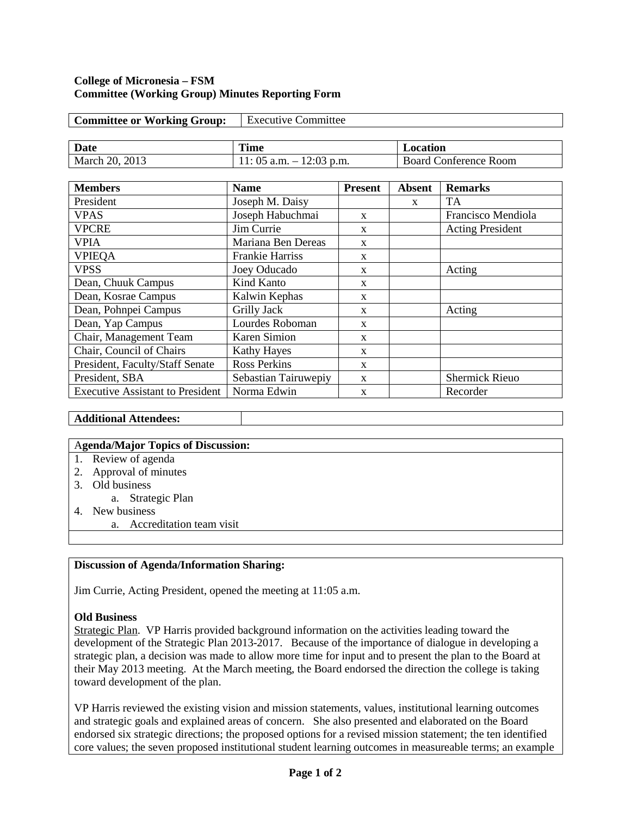#### **College of Micronesia – FSM Committee (Working Group) Minutes Reporting Form**

| <b>Committee or Working Group:</b> | <b>Executive Committee</b> |                              |  |  |
|------------------------------------|----------------------------|------------------------------|--|--|
|                                    |                            |                              |  |  |
| Date                               | <b>Time</b>                | Location                     |  |  |
| March 20, 2013                     | 11: 05 a.m. $-$ 12:03 p.m. | <b>Board Conference Room</b> |  |  |

| <b>Members</b>                          | <b>Name</b>            | <b>Present</b> | <b>Absent</b> | <b>Remarks</b>          |
|-----------------------------------------|------------------------|----------------|---------------|-------------------------|
| President                               | Joseph M. Daisy        |                | $\mathbf{x}$  | <b>TA</b>               |
| <b>VPAS</b>                             | Joseph Habuchmai       | $\mathbf{x}$   |               | Francisco Mendiola      |
| <b>VPCRE</b>                            | Jim Currie             | X              |               | <b>Acting President</b> |
| <b>VPIA</b>                             | Mariana Ben Dereas     | X              |               |                         |
| <b>VPIEQA</b>                           | <b>Frankie Harriss</b> | X              |               |                         |
| <b>VPSS</b>                             | Joey Oducado           | X              |               | Acting                  |
| Dean, Chuuk Campus                      | Kind Kanto             | X              |               |                         |
| Dean, Kosrae Campus                     | Kalwin Kephas          | X              |               |                         |
| Dean, Pohnpei Campus                    | Grilly Jack            | $\mathbf{x}$   |               | Acting                  |
| Dean, Yap Campus                        | Lourdes Roboman        | X              |               |                         |
| Chair, Management Team                  | <b>Karen Simion</b>    | $\mathbf{x}$   |               |                         |
| Chair, Council of Chairs                | <b>Kathy Hayes</b>     | $\mathbf{x}$   |               |                         |
| President, Faculty/Staff Senate         | <b>Ross Perkins</b>    | $\mathbf{x}$   |               |                         |
| President, SBA                          | Sebastian Tairuwepiy   | X              |               | <b>Shermick Rieuo</b>   |
| <b>Executive Assistant to President</b> | Norma Edwin            | $\mathbf{x}$   |               | Recorder                |

# **Additional Attendees:**

#### A**genda/Major Topics of Discussion:**

- 1. Review of agenda
- 2. Approval of minutes
- 3. Old business
	- a. Strategic Plan
- 4. New business
- a. Accreditation team visit

### **Discussion of Agenda/Information Sharing:**

Jim Currie, Acting President, opened the meeting at 11:05 a.m.

### **Old Business**

Strategic Plan. VP Harris provided background information on the activities leading toward the development of the Strategic Plan 2013-2017. Because of the importance of dialogue in developing a strategic plan, a decision was made to allow more time for input and to present the plan to the Board at their May 2013 meeting. At the March meeting, the Board endorsed the direction the college is taking toward development of the plan.

VP Harris reviewed the existing vision and mission statements, values, institutional learning outcomes and strategic goals and explained areas of concern. She also presented and elaborated on the Board endorsed six strategic directions; the proposed options for a revised mission statement; the ten identified core values; the seven proposed institutional student learning outcomes in measureable terms; an example